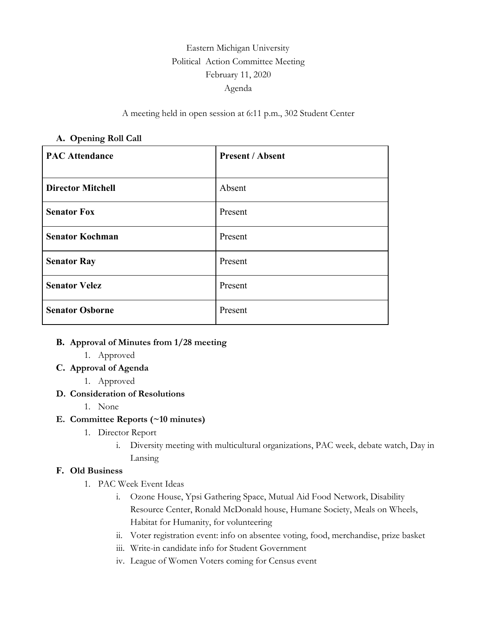# Eastern Michigan University Political Action Committee Meeting February 11, 2020 Agenda

#### A meeting held in open session at 6:11 p.m., 302 Student Center

#### **A. Opening Roll Call**

| <b>PAC Attendance</b>    | <b>Present / Absent</b> |
|--------------------------|-------------------------|
| <b>Director Mitchell</b> | Absent                  |
| <b>Senator Fox</b>       | Present                 |
| <b>Senator Kochman</b>   | Present                 |
| <b>Senator Ray</b>       | Present                 |
| <b>Senator Velez</b>     | Present                 |
| <b>Senator Osborne</b>   | Present                 |

#### **B. Approval of Minutes from 1/28 meeting**

- 1. Approved
- **C. Approval of Agenda**
	- 1. Approved

#### **D. Consideration of Resolutions**

1. None

## **E. Committee Reports (~10 minutes)**

- 1. Director Report
	- i. Diversity meeting with multicultural organizations, PAC week, debate watch, Day in Lansing

#### **F. Old Business**

- 1. PAC Week Event Ideas
	- i. Ozone House, Ypsi Gathering Space, Mutual Aid Food Network, Disability Resource Center, Ronald McDonald house, Humane Society, Meals on Wheels, Habitat for Humanity, for volunteering
	- ii. Voter registration event: info on absentee voting, food, merchandise, prize basket
	- iii. Write-in candidate info for Student Government
	- iv. League of Women Voters coming for Census event